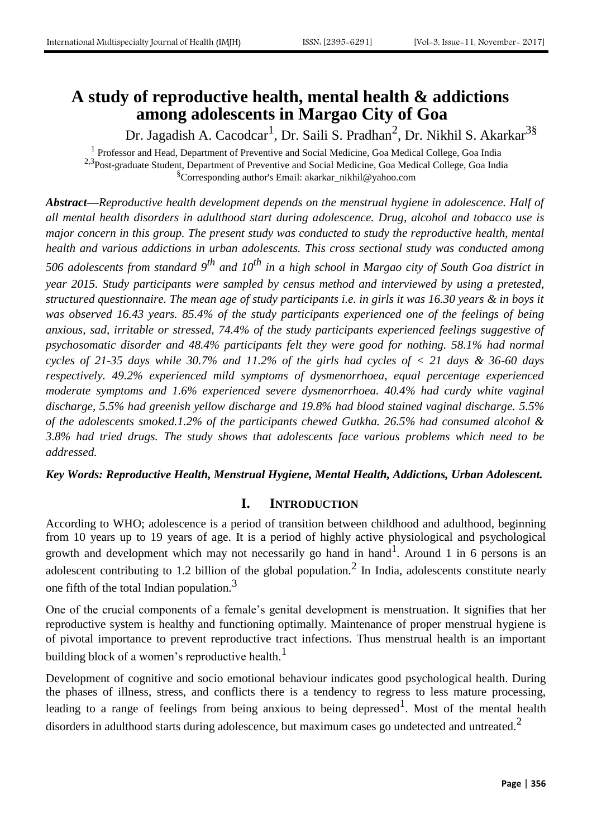# **A study of reproductive health, mental health & addictions among adolescents in Margao City of Goa**

Dr. Jagadish A. Cacodcar<sup>1</sup>, Dr. Saili S. Pradhan<sup>2</sup>, Dr. Nikhil S. Akarkar<sup>3§</sup>

<sup>1</sup> Professor and Head, Department of Preventive and Social Medicine, Goa Medical College, Goa India <sup>2,3</sup>Post-graduate Student, Department of Preventive and Social Medicine, Goa Medical College, Goa India §Corresponding author's Email: akarkar\_nikhil@yahoo.com

*Abstract—Reproductive health development depends on the menstrual hygiene in adolescence. Half of all mental health disorders in adulthood start during adolescence. Drug, alcohol and tobacco use is major concern in this group. The present study was conducted to study the reproductive health, mental health and various addictions in urban adolescents. This cross sectional study was conducted among 506 adolescents from standard 9th and 10th in a high school in Margao city of South Goa district in year 2015. Study participants were sampled by census method and interviewed by using a pretested, structured questionnaire. The mean age of study participants i.e. in girls it was 16.30 years & in boys it was observed 16.43 years. 85.4% of the study participants experienced one of the feelings of being anxious, sad, irritable or stressed, 74.4% of the study participants experienced feelings suggestive of psychosomatic disorder and 48.4% participants felt they were good for nothing. 58.1% had normal cycles of 21-35 days while 30.7% and 11.2% of the girls had cycles of < 21 days & 36-60 days respectively. 49.2% experienced mild symptoms of dysmenorrhoea, equal percentage experienced moderate symptoms and 1.6% experienced severe dysmenorrhoea. 40.4% had curdy white vaginal discharge, 5.5% had greenish yellow discharge and 19.8% had blood stained vaginal discharge. 5.5% of the adolescents smoked.1.2% of the participants chewed Gutkha. 26.5% had consumed alcohol & 3.8% had tried drugs. The study shows that adolescents face various problems which need to be addressed.*

*Key Words: Reproductive Health, Menstrual Hygiene, Mental Health, Addictions, Urban Adolescent.*

# **I. INTRODUCTION**

According to WHO; adolescence is a period of transition between childhood and adulthood, beginning from 10 years up to 19 years of age. It is a period of highly active physiological and psychological growth and development which may not necessarily go hand in hand<sup>1</sup>. Around 1 in 6 persons is an adolescent contributing to 1.2 billion of the global population.<sup>2</sup> In India, adolescents constitute nearly one fifth of the total Indian population.<sup>3</sup>

One of the crucial components of a female's genital development is menstruation. It signifies that her reproductive system is healthy and functioning optimally. Maintenance of proper menstrual hygiene is of pivotal importance to prevent reproductive tract infections. Thus menstrual health is an important building block of a women's reproductive health. $<sup>1</sup>$ </sup>

Development of cognitive and socio emotional behaviour indicates good psychological health. During the phases of illness, stress, and conflicts there is a tendency to regress to less mature processing, leading to a range of feelings from being anxious to being depressed  $1$ . Most of the mental health disorders in adulthood starts during adolescence, but maximum cases go undetected and untreated.<sup>2</sup>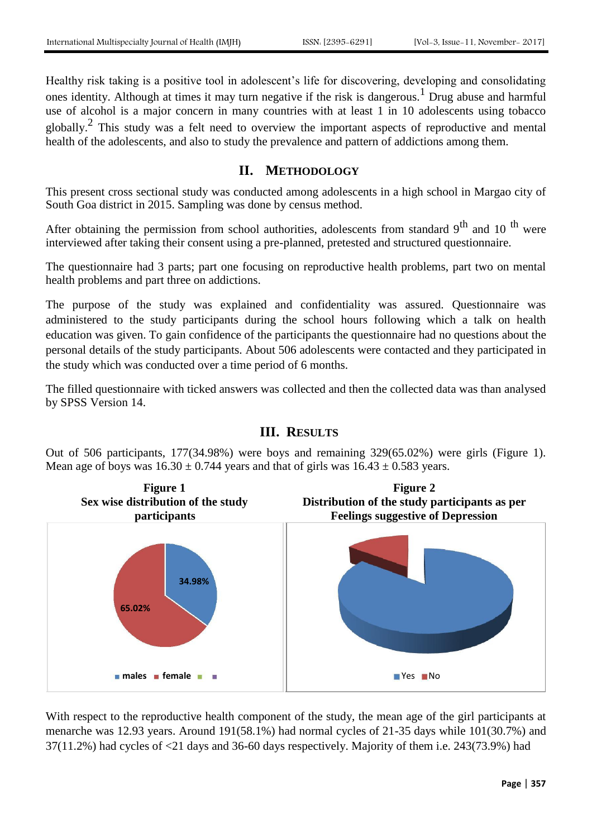Healthy risk taking is a positive tool in adolescent's life for discovering, developing and consolidating ones identity. Although at times it may turn negative if the risk is dangerous.<sup>1</sup> Drug abuse and harmful use of alcohol is a major concern in many countries with at least 1 in 10 adolescents using tobacco globally.<sup>2</sup> This study was a felt need to overview the important aspects of reproductive and mental health of the adolescents, and also to study the prevalence and pattern of addictions among them.

#### **II. METHODOLOGY**

This present cross sectional study was conducted among adolescents in a high school in Margao city of South Goa district in 2015. Sampling was done by census method.

After obtaining the permission from school authorities, adolescents from standard  $9^{th}$  and 10<sup>th</sup> were interviewed after taking their consent using a pre-planned, pretested and structured questionnaire.

The questionnaire had 3 parts; part one focusing on reproductive health problems, part two on mental health problems and part three on addictions.

The purpose of the study was explained and confidentiality was assured. Questionnaire was administered to the study participants during the school hours following which a talk on health education was given. To gain confidence of the participants the questionnaire had no questions about the personal details of the study participants. About 506 adolescents were contacted and they participated in the study which was conducted over a time period of 6 months.

The filled questionnaire with ticked answers was collected and then the collected data was than analysed by SPSS Version 14.

# **III. RESULTS**

Out of 506 participants, 177(34.98%) were boys and remaining 329(65.02%) were girls (Figure 1). Mean age of boys was  $16.30 \pm 0.744$  years and that of girls was  $16.43 \pm 0.583$  years.



With respect to the reproductive health component of the study, the mean age of the girl participants at menarche was 12.93 years. Around 191(58.1%) had normal cycles of 21-35 days while 101(30.7%) and 37(11.2%) had cycles of <21 days and 36-60 days respectively. Majority of them i.e. 243(73.9%) had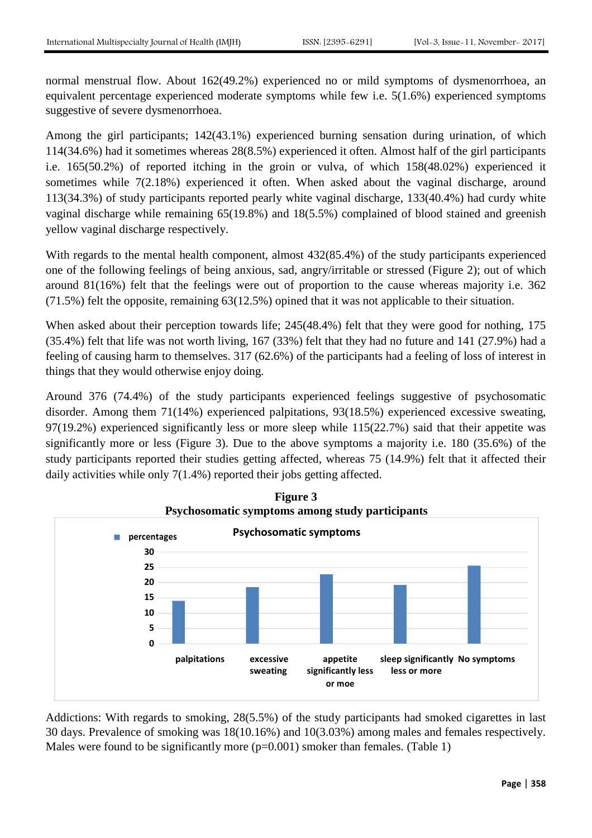normal menstrual flow. About 162(49.2%) experienced no or mild symptoms of dysmenorrhoea, an equivalent percentage experienced moderate symptoms while few i.e. 5(1.6%) experienced symptoms suggestive of severe dysmenorrhoea.

Among the girl participants; 142(43.1%) experienced burning sensation during urination, of which 114(34.6%) had it sometimes whereas 28(8.5%) experienced it often. Almost half of the girl participants i.e. 165(50.2%) of reported itching in the groin or vulva, of which 158(48.02%) experienced it sometimes while 7(2.18%) experienced it often. When asked about the vaginal discharge, around 113(34.3%) of study participants reported pearly white vaginal discharge, 133(40.4%) had curdy white vaginal discharge while remaining 65(19.8%) and 18(5.5%) complained of blood stained and greenish yellow vaginal discharge respectively.

With regards to the mental health component, almost 432(85.4%) of the study participants experienced one of the following feelings of being anxious, sad, angry/irritable or stressed (Figure 2); out of which around 81(16%) felt that the feelings were out of proportion to the cause whereas majority i.e. 362 (71.5%) felt the opposite, remaining 63(12.5%) opined that it was not applicable to their situation.

When asked about their perception towards life; 245(48.4%) felt that they were good for nothing, 175 (35.4%) felt that life was not worth living, 167 (33%) felt that they had no future and 141 (27.9%) had a feeling of causing harm to themselves. 317 (62.6%) of the participants had a feeling of loss of interest in things that they would otherwise enjoy doing.

Around 376 (74.4%) of the study participants experienced feelings suggestive of psychosomatic disorder. Among them 71(14%) experienced palpitations, 93(18.5%) experienced excessive sweating, 97(19.2%) experienced significantly less or more sleep while 115(22.7%) said that their appetite was significantly more or less (Figure 3). Due to the above symptoms a majority i.e. 180 (35.6%) of the study participants reported their studies getting affected, whereas 75 (14.9%) felt that it affected their daily activities while only 7(1.4%) reported their jobs getting affected.



**Figure 3**

Addictions: With regards to smoking, 28(5.5%) of the study participants had smoked cigarettes in last 30 days. Prevalence of smoking was 18(10.16%) and 10(3.03%) among males and females respectively. Males were found to be significantly more (p=0.001) smoker than females. (Table 1)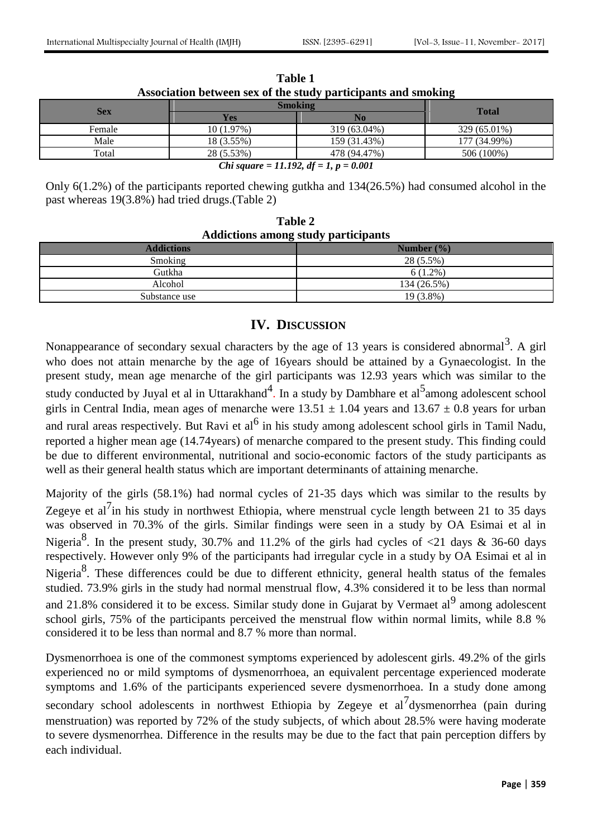| Association between sex of the study participants and smoking |                |                |              |  |
|---------------------------------------------------------------|----------------|----------------|--------------|--|
| <b>Sex</b>                                                    | <b>Smoking</b> |                | <b>Total</b> |  |
|                                                               | Yes            | N <sub>0</sub> |              |  |
| Female                                                        | 10(1.97%)      | 319 (63.04%)   | 329 (65.01%) |  |
| Male                                                          | 18 (3.55%)     | 159 (31.43%)   | 177 (34.99%) |  |
| Total                                                         | 28 (5.53%)     | 478 (94.47%)   | 506 (100%)   |  |
| <i>Chi square = 11.192, df = 1, p = 0.001</i>                 |                |                |              |  |

| <b>Table 1</b>                                                |  |
|---------------------------------------------------------------|--|
| Association between sex of the study participants and smoking |  |

Only 6(1.2%) of the participants reported chewing gutkha and 134(26.5%) had consumed alcohol in the past whereas 19(3.8%) had tried drugs.(Table 2)

| <b>Table 2</b>                             |  |  |  |
|--------------------------------------------|--|--|--|
| <b>Addictions among study participants</b> |  |  |  |

| $1.44444440440$ while $1.4444$ $1.4444$ $1.4444$ $1.444$ |  |  |  |
|----------------------------------------------------------|--|--|--|
| Number $(\% )$                                           |  |  |  |
| 28 (5.5%)                                                |  |  |  |
| $6(1.2\%)$                                               |  |  |  |
| 134 (26.5%)                                              |  |  |  |
| 19 (3.8%)                                                |  |  |  |
|                                                          |  |  |  |

#### **IV. DISCUSSION**

Nonappearance of secondary sexual characters by the age of 13 years is considered abnormal<sup>3</sup>. A girl who does not attain menarche by the age of 16years should be attained by a Gynaecologist. In the present study, mean age menarche of the girl participants was 12.93 years which was similar to the study conducted by Juyal et al in Uttarakhand<sup>4</sup>. In a study by Dambhare et al<sup>5</sup>among adolescent school girls in Central India, mean ages of menarche were  $13.51 \pm 1.04$  years and  $13.67 \pm 0.8$  years for urban and rural areas respectively. But Ravi et al $<sup>6</sup>$  in his study among adolescent school girls in Tamil Nadu,</sup> reported a higher mean age (14.74years) of menarche compared to the present study. This finding could be due to different environmental, nutritional and socio-economic factors of the study participants as well as their general health status which are important determinants of attaining menarche.

Majority of the girls (58.1%) had normal cycles of 21-35 days which was similar to the results by Zegeye et al<sup>7</sup>in his study in northwest Ethiopia, where menstrual cycle length between 21 to 35 days was observed in 70.3% of the girls. Similar findings were seen in a study by OA Esimai et al in Nigeria<sup>8</sup>. In the present study, 30.7% and 11.2% of the girls had cycles of  $\langle 21 \rangle$  days & 36-60 days respectively. However only 9% of the participants had irregular cycle in a study by OA Esimai et al in Nigeria<sup>8</sup>. These differences could be due to different ethnicity, general health status of the females studied. 73.9% girls in the study had normal menstrual flow, 4.3% considered it to be less than normal and 21.8% considered it to be excess. Similar study done in Gujarat by Vermaet al<sup>9</sup> among adolescent school girls, 75% of the participants perceived the menstrual flow within normal limits, while 8.8 % considered it to be less than normal and 8.7 % more than normal.

Dysmenorrhoea is one of the commonest symptoms experienced by adolescent girls. 49.2% of the girls experienced no or mild symptoms of dysmenorrhoea, an equivalent percentage experienced moderate symptoms and 1.6% of the participants experienced severe dysmenorrhoea. In a study done among secondary school adolescents in northwest Ethiopia by Zegeye et al<sup>7</sup>dysmenorrhea (pain during menstruation) was reported by 72% of the study subjects, of which about 28.5% were having moderate to severe dysmenorrhea. Difference in the results may be due to the fact that pain perception differs by each individual.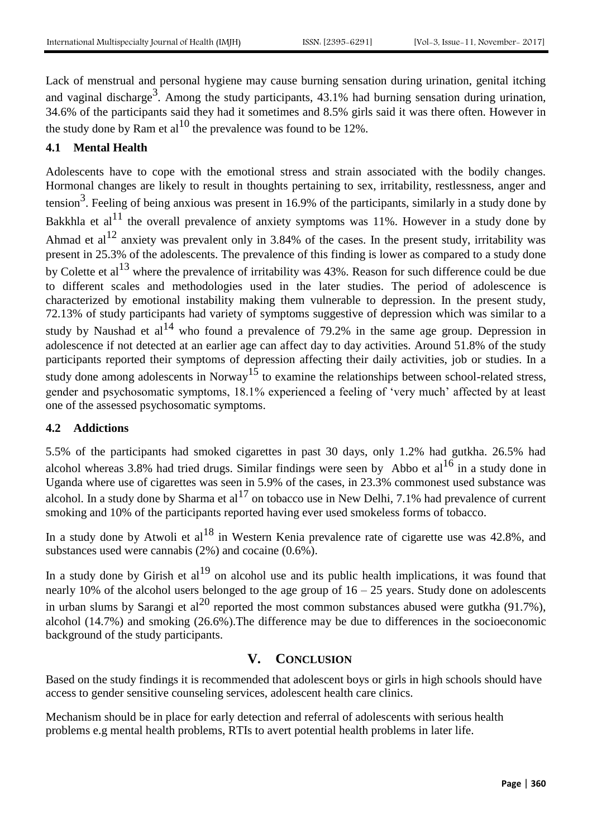Lack of menstrual and personal hygiene may cause burning sensation during urination, genital itching and vaginal discharge<sup>3</sup>. Among the study participants,  $43.1\%$  had burning sensation during urination, 34.6% of the participants said they had it sometimes and 8.5% girls said it was there often. However in the study done by Ram et al<sup>10</sup> the prevalence was found to be  $12\%$ .

#### **4.1 Mental Health**

Adolescents have to cope with the emotional stress and strain associated with the bodily changes. Hormonal changes are likely to result in thoughts pertaining to sex, irritability, restlessness, anger and tension<sup>3</sup>. Feeling of being anxious was present in 16.9% of the participants, similarly in a study done by Bakkhla et  $al<sup>11</sup>$  the overall prevalence of anxiety symptoms was 11%. However in a study done by Ahmad et al<sup>12</sup> anxiety was prevalent only in 3.84% of the cases. In the present study, irritability was present in 25.3% of the adolescents. The prevalence of this finding is lower as compared to a study done by Colette et al<sup>13</sup> where the prevalence of irritability was  $43\%$ . Reason for such difference could be due to different scales and methodologies used in the later studies. The period of adolescence is characterized by emotional instability making them vulnerable to depression. In the present study, 72.13% of study participants had variety of symptoms suggestive of depression which was similar to a study by Naushad et  $al^{14}$  who found a prevalence of 79.2% in the same age group. Depression in adolescence if not detected at an earlier age can affect day to day activities. Around 51.8% of the study participants reported their symptoms of depression affecting their daily activities, job or studies. In a study done among adolescents in Norway<sup>15</sup> to examine the relationships between school-related stress, gender and psychosomatic symptoms, 18.1% experienced a feeling of 'very much' affected by at least one of the assessed psychosomatic symptoms.

#### **4.2 Addictions**

5.5% of the participants had smoked cigarettes in past 30 days, only 1.2% had gutkha. 26.5% had alcohol whereas 3.8% had tried drugs. Similar findings were seen by [Abbo](http://www.ncbi.nlm.nih.gov/pubmed/?term=Abbo%20C%5BAuthor%5D&cauthor=true&cauthor_uid=27398388) et al<sup>16</sup> in a study done in Uganda where use of cigarettes was seen in 5.9% of the cases, in 23.3% commonest used substance was alcohol. In a study done by Sharma et al<sup>17</sup> on tobacco use in New Delhi, 7.1% had prevalence of current smoking and 10% of the participants reported having ever used smokeless forms of tobacco.

In a study done by Atwoli et al<sup>18</sup> in Western Kenia prevalence rate of cigarette use was  $42.8\%$ , and substances used were cannabis (2%) and cocaine (0.6%).

In a study done by Girish et  $al<sup>19</sup>$  on alcohol use and its public health implications, it was found that nearly 10% of the alcohol users belonged to the age group of  $16 - 25$  years. Study done on adolescents in urban slums by Sarangi et al<sup>20</sup> reported the most common substances abused were gutkha (91.7%), alcohol (14.7%) and smoking (26.6%).The difference may be due to differences in the socioeconomic background of the study participants.

# **V. CONCLUSION**

Based on the study findings it is recommended that adolescent boys or girls in high schools should have access to gender sensitive counseling services, adolescent health care clinics.

Mechanism should be in place for early detection and referral of adolescents with serious health problems e.g mental health problems, RTIs to avert potential health problems in later life.